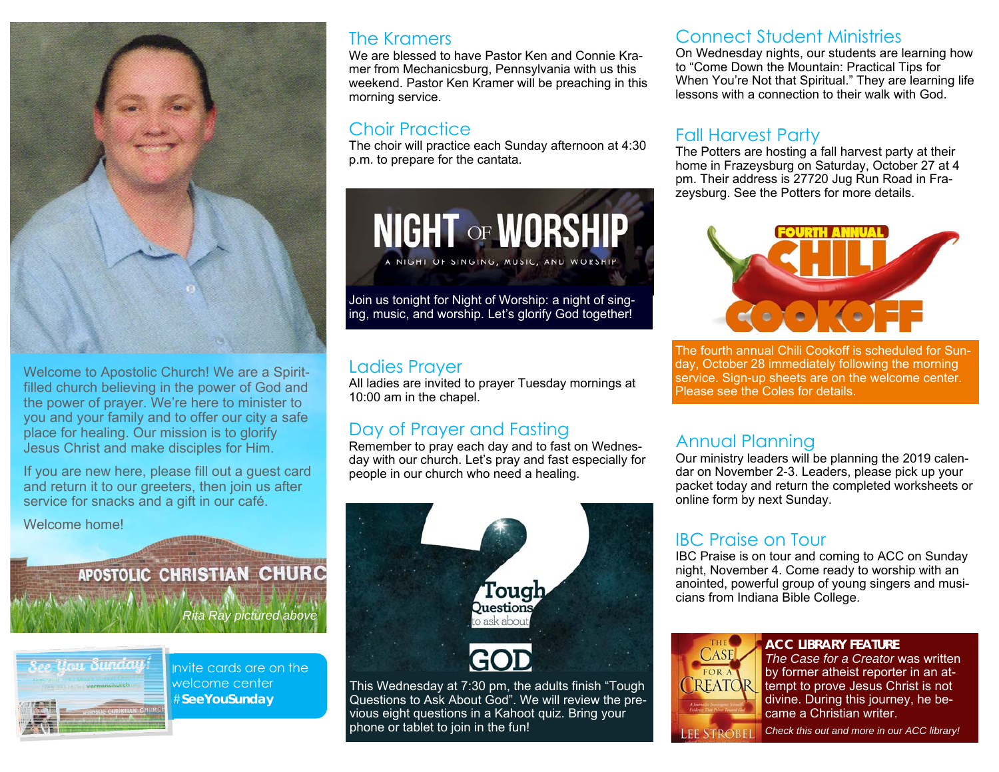

Welcome to Apostolic Church! We are a Spiritfilled church believing in the power of God and the power of prayer. We're here to minister to you and your family and to offer our city a safe place for healing. Our mission is to glorify Jesus Christ and make disciples for Him.

If you are new here, please fill out a guest card and return it to our greeters, then join us after service for snacks and a gift in our café.

Welcome home!

# APOSTOLIC CHRISTIAN CHURC

*Rita Ray pictured above* 



Invite cards are on the welcome center #**SeeYouSunday** 

#### The Kramers

We are blessed to have Pastor Ken and Connie Kramer from Mechanicsburg, Pennsylvania with us this weekend. Pastor Ken Kramer will be preaching in this morning service.

#### Choir Practice

The choir will practice each Sunday afternoon at 4:30 p.m. to prepare for the cantata.



#### Ladies Prayer

All ladies are invited to prayer Tuesday mornings at 10:00 am in the chapel.

#### Day of Prayer and Fasting

Remember to pray each day and to fast on Wednesday with our church. Let's pray and fast especially for people in our church who need a healing.



Questions to Ask About God". We will review the previous eight questions in a Kahoot quiz. Bring your phone or tablet to join in the fun!

#### Connect Student Ministries

On Wednesday nights, our students are learning how to "Come Down the Mountain: Practical Tips for When You're Not that Spiritual." They are learning life lessons with a connection to their walk with God.

#### Fall Harvest Party

The Potters are hosting a fall harvest party at their home in Frazeysburg on Saturday, October 27 at 4 pm. Their address is 27720 Jug Run Road in Frazeysburg. See the Potters for more details.



The fourth annual Chili Cookoff is scheduled for Sunday, October 28 immediately following the morning service. Sign-up sheets are on the welcome center. Please see the Coles for details.

#### Annual Planning

Our ministry leaders will be planning the 2019 calendar on November 2-3. Leaders, please pick up your packet today and return the completed worksheets or online form by next Sunday.

#### IBC Praise on Tour

IBC Praise is on tour and coming to ACC on Sunday night, November 4. Come ready to worship with an anointed, powerful group of young singers and musicians from Indiana Bible College.



**ACC LIBRARY FEATURE***The Case for a Creator* was written by former atheist reporter in an attempt to prove Jesus Christ is not divine. During this journey, he became a Christian writer.

*Check this out and more in our ACC library!***LEE STROBE**